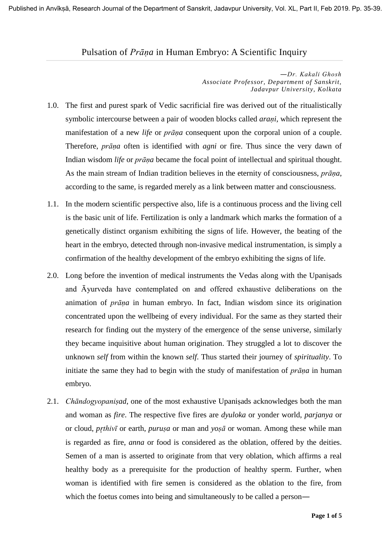## Pulsation of *Prāṇa* in Human Embryo: A Scientific Inquiry

*―Dr. Kakali Ghosh Associate Professor, Department of Sanskrit, Jadavpur University, Kolkata*

- 1.0. The first and purest spark of Vedic sacrificial fire was derived out of the ritualistically symbolic intercourse between a pair of wooden blocks called *araṇi*, which represent the manifestation of a new *life* or *prāṇa* consequent upon the corporal union of a couple. Therefore, *prāṇa* often is identified with *agni* or fire. Thus since the very dawn of Indian wisdom *life* or *prāṇa* became the focal point of intellectual and spiritual thought. As the main stream of Indian tradition believes in the eternity of consciousness, *prāṇa*, according to the same, is regarded merely as a link between matter and consciousness.
- 1.1. In the modern scientific perspective also, life is a continuous process and the living cell is the basic unit of life. Fertilization is only a landmark which marks the formation of a genetically distinct organism exhibiting the signs of life. However, the beating of the heart in the embryo, detected through non-invasive medical instrumentation, is simply a confirmation of the healthy development of the embryo exhibiting the signs of life.
- 2.0. Long before the invention of medical instruments the Vedas along with the Upaniṣads and Āyurveda have contemplated on and offered exhaustive deliberations on the animation of *prāṇa* in human embryo. In fact, Indian wisdom since its origination concentrated upon the wellbeing of every individual. For the same as they started their research for finding out the mystery of the emergence of the sense universe, similarly they became inquisitive about human origination. They struggled a lot to discover the unknown *self* from within the known *self*. Thus started their journey of *spirituality*. To initiate the same they had to begin with the study of manifestation of *prāṇa* in human embryo.
- 2.1. *Chāndogyopaniṣad*, one of the most exhaustive Upaniṣads acknowledges both the man and woman as *fire*. The respective five fires are *dyuloka* or yonder world, *parjanya* or or cloud, *pthivī* or earth, *puruṣa* or man and *yoṣā* or woman. Among these while man is regarded as fire, *anna* or food is considered as the oblation, offered by the deities. Semen of a man is asserted to originate from that very oblation, which affirms a real healthy body as a prerequisite for the production of healthy sperm. Further, when woman is identified with fire semen is considered as the oblation to the fire, from which the foetus comes into being and simultaneously to be called a person—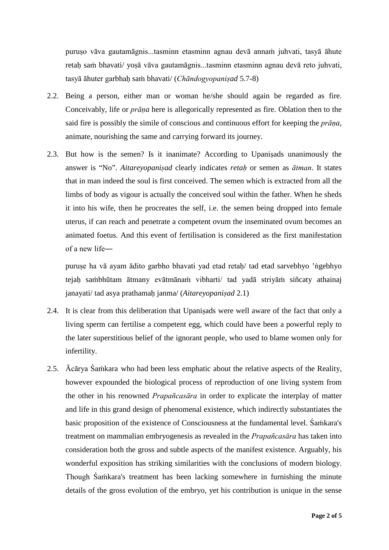puruṣo vāva gautamāgnis...tasminn etasminn agnau devā annaṁ juhvati, tasyā āhute retaḥ saṁ bhavati/ yoṣā vāva gautamāgnis...tasminn etasminn agnau devā reto juhvati, tasyā āhuter garbhaḥ saṁ bhavati/ (*Chāndogyopaniṣad* 5.7-8)

- 2.2. Being a person, either man or woman he/she should again be regarded as fire. Conceivably, life or *prāṇa* here is allegorically represented as fire. Oblation then to the said fire is possibly the simile of conscious and continuous effort for keeping the *prāṇa*, animate, nourishing the same and carrying forward its journey.
- 2.3. But how is the semen? Is it inanimate? According to Upaniṣads unanimously the answer is "No". *Aitareyopaniṣad* clearly indicates *retaḥ* or semen as *ātman*. It states that in man indeed the soul is first conceived. The semen which is extracted from all the limbs of body as vigour is actually the conceived soul within the father. When he sheds it into his wife, then he procreates the self, i.e. the semen being dropped into female uterus, if can reach and penetrate a competent ovum the inseminated ovum becomes an animated foetus. And this event of fertilisation is considered as the first manifestation of a new life―

puruṣe ha vā ayam ādito garbho bhavati yad etad retaḥ/ tad etad sarvebhyo 'ṅgebhyo tejaḥ saṁbhūtam ātmany evātmānaṁ vibharti/ tad yadā striyāṁ siñcaty athainaj janayati/ tad asya prathamaḥ janma/ (*Aitareyopaniṣad* 2.1)

- 2.4. It is clear from this deliberation that Upaniṣads were well aware of the fact that only a living sperm can fertilise a competent egg, which could have been a powerful reply to the later superstitious belief of the ignorant people, who used to blame women only for infertility.
- 2.5. Ācārya Śaṁkara who had been less emphatic about the relative aspects of the Reality, however expounded the biological process of reproduction of one living system from the other in his renowned *Prapañcasāra* in order to explicate the interplay of matter and life in this grand design of phenomenal existence, which indirectly substantiates the basic proposition of the existence of Consciousness at the fundamental level. Śaṁkara's treatment on mammalian embryogenesis as revealed in the *Prapañcasāra* has taken into consideration both the gross and subtle aspects of the manifest existence. Arguably, his wonderful exposition has striking similarities with the conclusions of modern biology. Though Śaṁkara's treatment has been lacking somewhere in furnishing the minute details of the gross evolution of the embryo, yet his contribution is unique in the sense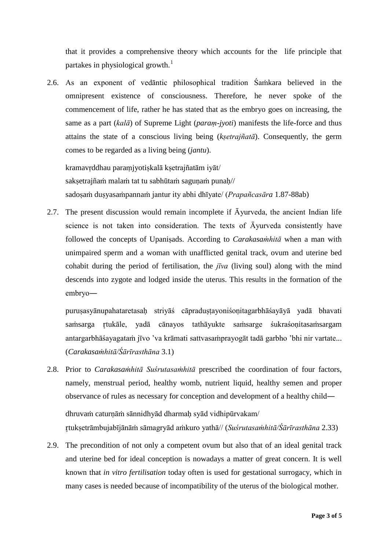that it provides a comprehensive theory which accounts for the life principle that partakes in physiological growth.<sup>[1](#page-4-0)</sup>

2.6. As an exponent of vedāntic philosophical tradition Śaṁkara believed in the omnipresent existence of consciousness. Therefore, he never spoke of the commencement of life, rather he has stated that as the embryo goes on increasing, the same as a part (*kalā*) of Supreme Light (*paraṃ-jyoti*) manifests the life-force and thus attains the state of a conscious living being (*kṣetrajñatā*). Consequently, the germ comes to be regarded as a living being (*jantu*).

kramavṛddhau paraṃjyotiṣkalā kṣetrajñatām iyāt/ sakṣetrajñaṁ malaṁ tat tu sabhūtaṁ saguṇaṁ punaḥ// sadoṣaṁ duṣyasaṁpannaṁ jantur ity abhi dhīyate/ (*Prapañcasāra* 1.87-88ab)

2.7. The present discussion would remain incomplete if  $\bar{A}$  vurveda, the ancient Indian life science is not taken into consideration. The texts of Āyurveda consistently have followed the concepts of Upaniṣads. According to *Carakasaṁhitā* when a man with unimpaired sperm and a woman with unafflicted genital track, ovum and uterine bed cohabit during the period of fertilisation, the *jīva* (living soul) along with the mind descends into zygote and lodged inside the uterus. This results in the formation of the embryo―

puruṣasyānupahataretasaḥ striyāś cāpraduṣṭayoniśoṇitagarbhāśayāyā yadā bhavati saṁsarga tukāle, yadā cānayos tathāyukte saṁsarge śukraśoṇitasaṁsargam antargarbhāśayagataṁ jīvo 'va krāmati sattvasaṁprayogāt tadā garbho 'bhi nir vartate... (*Carakasaṁhitā/Śārīrasthāna* 3.1)

2.8. Prior to *Carakasaṁhitā Suśrutasaṁhitā* prescribed the coordination of four factors, namely, menstrual period, healthy womb, nutrient liquid, healthy semen and proper observance of rules as necessary for conception and development of a healthy child―

dhruvaṁ caturṇāṁ sānnidhyād dharmaḥ syād vidhipūrvakam/ tukṣetrāmbujabījānāṁ sāmagryād aṁkuro yathā// (*Suśrutasaṁhitā/Śārīrasthāna* 2.33)

2.9. The precondition of not only a competent ovum but also that of an ideal genital track and uterine bed for ideal conception is nowadays a matter of great concern. It is well known that *in vitro fertilisation* today often is used for gestational surrogacy, which in many cases is needed because of incompatibility of the uterus of the biological mother.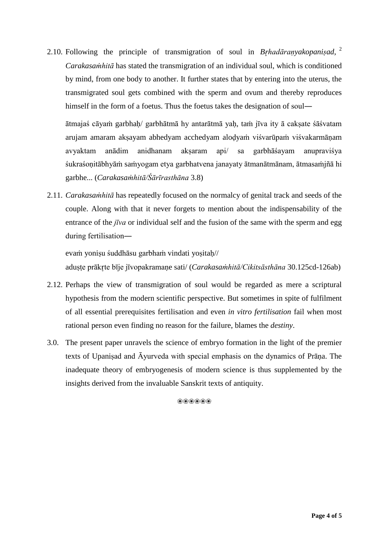2.10. Following the principle of transmigration of soul in *Bhadāraṇyakopaniṣad*, [2](#page-4-1) *Carakasaṁhitā* has stated the transmigration of an individual soul, which is conditioned by mind, from one body to another. It further states that by entering into the uterus, the transmigrated soul gets combined with the sperm and ovum and thereby reproduces himself in the form of a foetus. Thus the foetus takes the designation of soul―

ātmajaś cāyaṁ garbhaḥ/ garbhātmā hy antarātmā yaḥ, taṁ jīva ity ā cakṣate śāśvatam arujam amaram akṣayam abhedyam acchedyam aloḍyaṁ viśvarūpaṁ viśvakarmāṇam avyaktam anādim anidhanam akṣaram api/ sa garbhāśayam anupraviśya śukraśoṇitābhyāṁ saṁyogam etya garbhatvena janayaty ātmanātmānam, ātmasaṁjñā hi garbhe... (*Carakasaṁhitā/Śārīrasthāna* 3.8)

2.11. *Carakasaṁhitā* has repeatedly focused on the normalcy of genital track and seeds of the couple. Along with that it never forgets to mention about the indispensability of the entrance of the *jīva* or individual self and the fusion of the same with the sperm and egg during fertilisation―

evaṁ yoniṣu śuddhāsu garbhaṁ vindati yoṣitaḥ// aduṣṭe prākte bīje jīvopakramaṇe sati/ (*Carakasaṁhitā/Cikitsāsthāna* 30.125cd-126ab)

- 2.12. Perhaps the view of transmigration of soul would be regarded as mere a scriptural hypothesis from the modern scientific perspective. But sometimes in spite of fulfilment of all essential prerequisites fertilisation and even *in vitro fertilisation* fail when most rational person even finding no reason for the failure, blames the *destiny*.
- 3.0. The present paper unravels the science of embryo formation in the light of the premier texts of Upaniṣad and Āyurveda with special emphasis on the dynamics of Prāṇa. The inadequate theory of embryogenesis of modern science is thus supplemented by the insights derived from the invaluable Sanskrit texts of antiquity.

❀❀❀❀❀❀